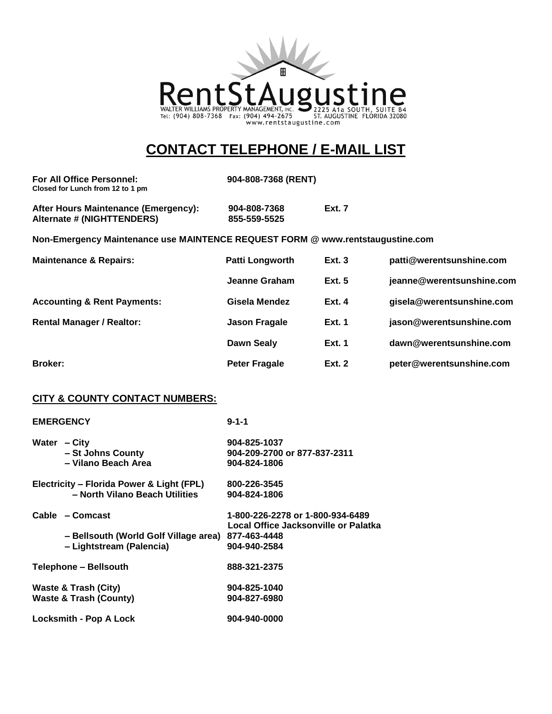

## **CONTACT TELEPHONE / E-MAIL LIST**

| For All Office Personnel:<br>Closed for Lunch from 12 to 1 pm                  |                              | 904-808-7368 (RENT) |  |  |
|--------------------------------------------------------------------------------|------------------------------|---------------------|--|--|
| After Hours Maintenance (Emergency):<br>Alternate # (NIGHTTENDERS)             | 904-808-7368<br>855-559-5525 | <b>Ext. 7</b>       |  |  |
| Non-Emergency Maintenance use MAINTENCE REQUEST FORM @ www.rentstaugustine.com |                              |                     |  |  |

| <b>Maintenance &amp; Repairs:</b>      | <b>Patti Longworth</b> | Ext.3         | patti@werentsunshine.com  |
|----------------------------------------|------------------------|---------------|---------------------------|
|                                        | Jeanne Graham          | Ext.5         | jeanne@werentsunshine.com |
| <b>Accounting &amp; Rent Payments:</b> | Gisela Mendez          | Ext.4         | gisela@werentsunshine.com |
| <b>Rental Manager / Realtor:</b>       | <b>Jason Fragale</b>   | Ext. 1        | jason@werentsunshine.com  |
|                                        | <b>Dawn Sealy</b>      | <b>Ext. 1</b> | dawn@werentsunshine.com   |
| <b>Broker:</b>                         | <b>Peter Fragale</b>   | <b>Ext. 2</b> | peter@werentsunshine.com  |

## **CITY & COUNTY CONTACT NUMBERS:**

| <b>EMERGENCY</b>                          | $9 - 1 - 1$                          |
|-------------------------------------------|--------------------------------------|
| Water - City                              | 904-825-1037                         |
| - St Johns County                         | 904-209-2700 or 877-837-2311         |
| - Vilano Beach Area                       | 904-824-1806                         |
| Electricity – Florida Power & Light (FPL) | 800-226-3545                         |
| - North Vilano Beach Utilities            | 904-824-1806                         |
| Cable – Comcast                           | 1-800-226-2278 or 1-800-934-6489     |
|                                           | Local Office Jacksonville or Palatka |
| - Bellsouth (World Golf Village area)     | 877-463-4448                         |
| - Lightstream (Palencia)                  | 904-940-2584                         |
| <b>Telephone - Bellsouth</b>              | 888-321-2375                         |
| Waste & Trash (City)                      | 904-825-1040                         |
| <b>Waste &amp; Trash (County)</b>         | 904-827-6980                         |
| Locksmith - Pop A Lock                    | 904-940-0000                         |
|                                           |                                      |